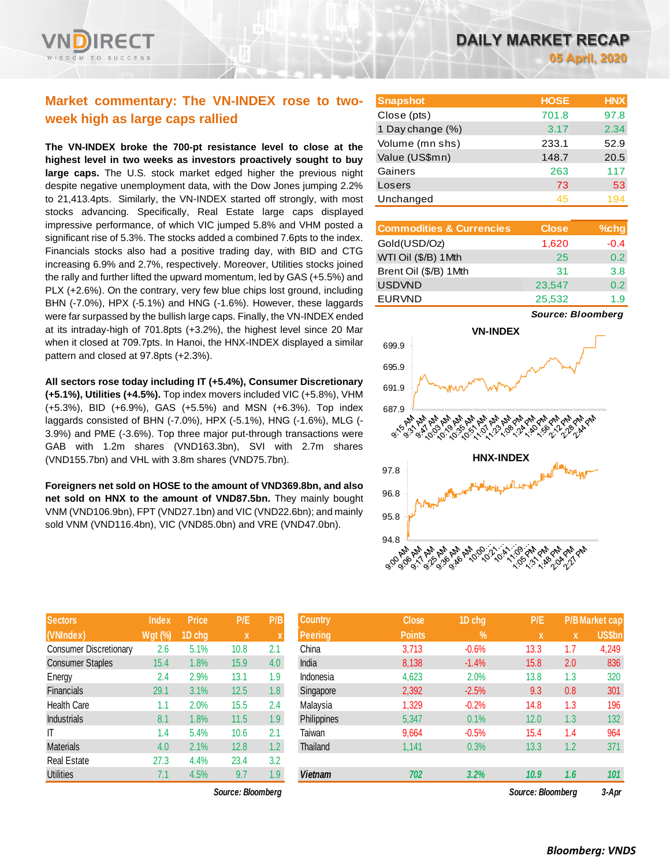

# **Market commentary: The VN-INDEX rose to twoweek high as large caps rallied**

**The VN-INDEX broke the 700-pt resistance level to close at the highest level in two weeks as investors proactively sought to buy large caps.** The U.S. stock market edged higher the previous night despite negative unemployment data, with the Dow Jones jumping 2.2% to 21,413.4pts. Similarly, the VN-INDEX started off strongly, with most stocks advancing. Specifically, Real Estate large caps displayed impressive performance, of which VIC jumped 5.8% and VHM posted a significant rise of 5.3%. The stocks added a combined 7.6pts to the index. Financials stocks also had a positive trading day, with BID and CTG increasing 6.9% and 2.7%, respectively. Moreover, Utilities stocks joined the rally and further lifted the upward momentum, led by GAS (+5.5%) and PLX (+2.6%). On the contrary, very few blue chips lost ground, including BHN (-7.0%), HPX (-5.1%) and HNG (-1.6%). However, these laggards were far surpassed by the bullish large caps. Finally, the VN-INDEX ended at its intraday-high of 701.8pts (+3.2%), the highest level since 20 Mar when it closed at 709.7pts. In Hanoi, the HNX-INDEX displayed a similar pattern and closed at 97.8pts (+2.3%).

### **All sectors rose today including IT (+5.4%), Consumer Discretionary**

**(+5.1%), Utilities (+4.5%).** Top index movers included VIC (+5.8%), VHM (+5.3%), BID (+6.9%), GAS (+5.5%) and MSN (+6.3%). Top index laggards consisted of BHN (-7.0%), HPX (-5.1%), HNG (-1.6%), MLG (- 3.9%) and PME (-3.6%). Top three major put-through transactions were GAB with 1.2m shares (VND163.3bn), SVI with 2.7m shares (VND155.7bn) and VHL with 3.8m shares (VND75.7bn).

### **Foreigners net sold on HOSE to the amount of VND369.8bn, and also net sold on HNX to the amount of VND87.5bn.** They mainly bought VNM (VND106.9bn), FPT (VND27.1bn) and VIC (VND22.6bn); and mainly sold VNM (VND116.4bn), VIC (VND85.0bn) and VRE (VND47.0bn).

| <b>Sectors</b>                | <b>Index</b>   | <b>Price</b> | P/E  | P/B |
|-------------------------------|----------------|--------------|------|-----|
| (VNIndex)                     | <b>Wgt (%)</b> | 1D chg       | X    | X   |
| <b>Consumer Discretionary</b> | 2.6            | 5.1%         | 10.8 | 2.1 |
| <b>Consumer Staples</b>       | 15.4           | 1.8%         | 15.9 | 4.0 |
| Energy                        | 2.4            | 2.9%         | 13.1 | 1.9 |
| <b>Financials</b>             | 29.1           | 3.1%         | 12.5 | 1.8 |
| <b>Health Care</b>            | 1.1            | 2.0%         | 15.5 | 2.4 |
| <b>Industrials</b>            | 8.1            | 1.8%         | 11.5 | 1.9 |
| IT                            | 1.4            | 5.4%         | 10.6 | 2.1 |
| <b>Materials</b>              | 4.0            | 2.1%         | 12.8 | 1.2 |
| <b>Real Estate</b>            | 27.3           | 4.4%         | 23.4 | 3.2 |
| Utilities                     | 7.1            | 4.5%         | 9.7  | 1.9 |

 $Source: Bloomberg$ 

| <b>Snapshot</b>  | <b>HOSE</b> | <b>HNX</b> |
|------------------|-------------|------------|
| Close (pts)      | 701.8       | 97.8       |
| 1 Day change (%) | 3.17        | 2.34       |
| Volume (mn shs)  | 233.1       | 52.9       |
| Value (US\$mn)   | 148.7       | 20.5       |
| Gainers          | 263         | 117        |
| Losers           | 73          | 53         |
| Unchanged        | 45          | 194        |

| <b>Commodities &amp; Currencies</b> | <b>Close</b> | $%$ chg       |
|-------------------------------------|--------------|---------------|
| Gold(USD/Oz)                        | 1,620        | $-0.4$        |
| WTI Oil (\$/B) 1Mth                 | 25           | 0.2           |
| Brent Oil (\$/B) 1Mth               | 31           | 3.8           |
| <b>USDVND</b>                       | 23,547       | $0.2^{\circ}$ |
| <b>EURVND</b>                       | 25,532       | 19            |

*Source: Bloomberg*



| <b>Sectors</b>          | <b>Index</b>   | <b>Price</b> | P/E               | P/B              | <b>Country</b> | <b>Close</b>  | 1D chg     | P/E               |     | <b>P/B Market cap</b> |
|-------------------------|----------------|--------------|-------------------|------------------|----------------|---------------|------------|-------------------|-----|-----------------------|
| (VNIndex)               | <b>Wgt (%)</b> | 1D chg       | X                 |                  | <b>Peering</b> | <b>Points</b> | $\sqrt{2}$ | <b>X</b>          | X   | <b>US\$bn</b>         |
| Consumer Discretionary  | 2.6            | 5.1%         | 10.8              | 2.1              | China          | 3,713         | $-0.6%$    | 13.3              | 1.7 | 4,249                 |
| <b>Consumer Staples</b> | 15.4           | 1.8%         | 15.9              | 4.0              | India          | 8,138         | $-1.4%$    | 15.8              | 2.0 | 836                   |
| Energy                  | 2.4            | 2.9%         | 13.1              | 1.9              | Indonesia      | 4,623         | 2.0%       | 13.8              | 1.3 | 320                   |
| Financials              | 29.1           | 3.1%         | 12.5              | 1.8 <sup>°</sup> | Singapore      | 2,392         | $-2.5%$    | 9.3               | 0.8 | 301                   |
| Health Care             | 1.1            | 2.0%         | 15.5              | 2.4              | Malaysia       | 1,329         | $-0.2%$    | 14.8              | 1.3 | 196                   |
| <b>Industrials</b>      | 8.1            | 1.8%         | 11.5              | 1.9              | Philippines    | 5,347         | 0.1%       | 12.0              | 1.3 | 132                   |
| ΙT                      | 1.4            | 5.4%         | 10.6              | 2.1              | Taiwan         | 9,664         | $-0.5%$    | 15.4              | 1.4 | 964                   |
| Materials               | 4.0            | 2.1%         | 12.8              | 1.2 <sub>1</sub> | Thailand       | 1,141         | 0.3%       | 13.3              | 1.2 | 371                   |
| Real Estate             | 27.3           | 4.4%         | 23.4              | 3.2              |                |               |            |                   |     |                       |
| <b>Utilities</b>        | 7.1            | 4.5%         | 9.7               | 1.9              | <b>Vietnam</b> | 702           | 3.2%       | 10.9              | 1.6 | 101                   |
|                         |                |              | Source: Bloomberg |                  |                |               |            | Source: Bloomberg |     | $3-Apr$               |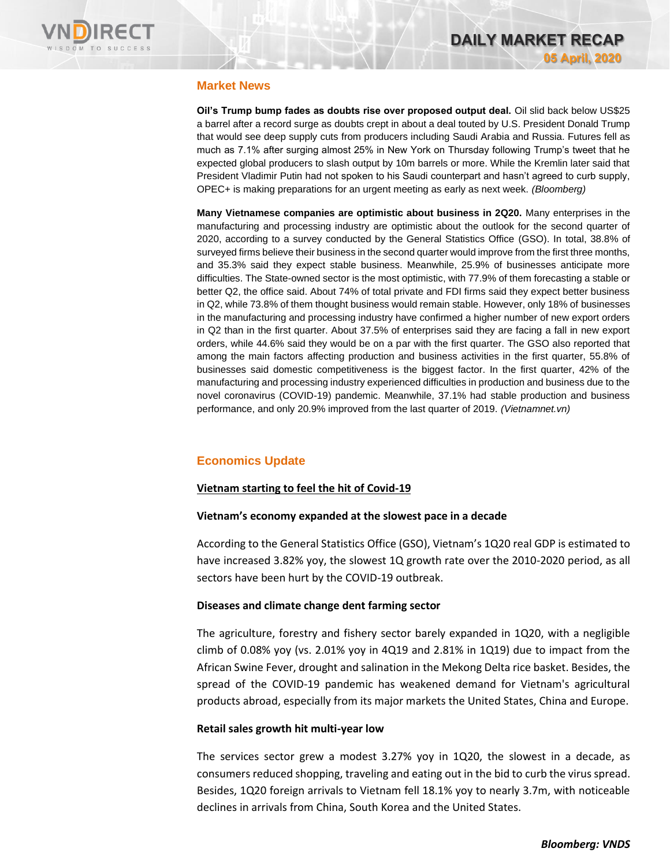

# **Market News**

**Oil's Trump bump fades as doubts rise over proposed output deal.** Oil slid back below US\$25 a barrel after a record surge as doubts crept in about a deal touted by U.S. President Donald Trump that would see deep supply cuts from producers including Saudi Arabia and Russia. Futures fell as much as 7.1% after surging almost 25% in New York on Thursday following Trump's tweet that he expected global producers to slash output by 10m barrels or more. While the Kremlin later said that President Vladimir Putin had not spoken to his Saudi counterpart and hasn't agreed to curb supply, OPEC+ is making preparations for an urgent meeting as early as next week. *(Bloomberg)*

**Many Vietnamese companies are optimistic about business in 2Q20.** Many enterprises in the manufacturing and processing industry are optimistic about the outlook for the second quarter of 2020, according to a survey conducted by the General Statistics Office (GSO). In total, 38.8% of surveyed firms believe their business in the second quarter would improve from the first three months, and 35.3% said they expect stable business. Meanwhile, 25.9% of businesses anticipate more difficulties. The State-owned sector is the most optimistic, with 77.9% of them forecasting a stable or better Q2, the office said. About 74% of total private and FDI firms said they expect better business in Q2, while 73.8% of them thought business would remain stable. However, only 18% of businesses in the manufacturing and processing industry have confirmed a higher number of new export orders in Q2 than in the first quarter. About 37.5% of enterprises said they are facing a fall in new export orders, while 44.6% said they would be on a par with the first quarter. The GSO also reported that among the main factors affecting production and business activities in the first quarter, 55.8% of businesses said domestic competitiveness is the biggest factor. In the first quarter, 42% of the manufacturing and processing industry experienced difficulties in production and business due to the novel coronavirus (COVID-19) pandemic. Meanwhile, 37.1% had stable production and business performance, and only 20.9% improved from the last quarter of 2019. *(Vietnamnet.vn)*

# **Economics Update**

# **Vietnam starting to feel the hit of Covid-19**

### **Vietnam's economy expanded at the slowest pace in a decade**

According to the General Statistics Office (GSO), Vietnam's 1Q20 real GDP is estimated to have increased 3.82% yoy, the slowest 1Q growth rate over the 2010-2020 period, as all sectors have been hurt by the COVID-19 outbreak.

# **Diseases and climate change dent farming sector**

The agriculture, forestry and fishery sector barely expanded in 1Q20, with a negligible climb of 0.08% yoy (vs. 2.01% yoy in 4Q19 and 2.81% in 1Q19) due to impact from the African Swine Fever, drought and salination in the Mekong Delta rice basket. Besides, the spread of the COVID-19 pandemic has weakened demand for Vietnam's agricultural products abroad, especially from its major markets the United States, China and Europe.

# **Retail sales growth hit multi-year low**

The services sector grew a modest 3.27% yoy in 1Q20, the slowest in a decade, as consumers reduced shopping, traveling and eating out in the bid to curb the virus spread. Besides, 1Q20 foreign arrivals to Vietnam fell 18.1% yoy to nearly 3.7m, with noticeable declines in arrivals from China, South Korea and the United States.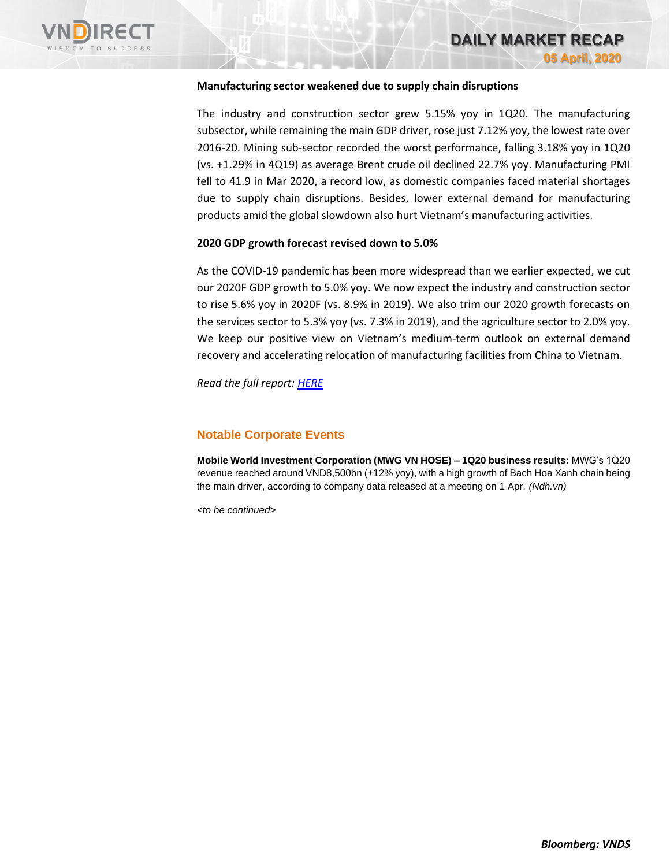

# **DAILY MARKET RECAP 05 April, 2020**

### **Manufacturing sector weakened due to supply chain disruptions**

The industry and construction sector grew 5.15% yoy in 1Q20. The manufacturing subsector, while remaining the main GDP driver, rose just 7.12% yoy, the lowest rate over 2016-20. Mining sub-sector recorded the worst performance, falling 3.18% yoy in 1Q20 (vs. +1.29% in 4Q19) as average Brent crude oil declined 22.7% yoy. Manufacturing PMI fell to 41.9 in Mar 2020, a record low, as domestic companies faced material shortages due to supply chain disruptions. Besides, lower external demand for manufacturing products amid the global slowdown also hurt Vietnam's manufacturing activities.

### **2020 GDP growth forecast revised down to 5.0%**

As the COVID-19 pandemic has been more widespread than we earlier expected, we cut our 2020F GDP growth to 5.0% yoy. We now expect the industry and construction sector to rise 5.6% yoy in 2020F (vs. 8.9% in 2019). We also trim our 2020 growth forecasts on the services sector to 5.3% yoy (vs. 7.3% in 2019), and the agriculture sector to 2.0% yoy. We keep our positive view on Vietnam's medium-term outlook on external demand recovery and accelerating relocation of manufacturing facilities from China to Vietnam.

*Read the full report: [HERE](https://nhanha-public-api.vndirect.com.vn/click/OGE0ODlmZDA3MDFjZjM0OTAxNzAxZWQ4OTRkZjAwMDk=/OGI5MDg0ZGE5M2VkNDA4MmIzMWU1MmVjNjExNTdlMzA=/8b9084da93ed4082b31e52ec61157e30-Economic_Update_Vietnam_20200403.pdf/cmVzZWFyY2hAdm5kaXJlY3QuY29tLnZu/MTY3NDk=)*

### **Notable Corporate Events**

**Mobile World Investment Corporation (MWG VN HOSE) – 1Q20 business results:** MWG's 1Q20 revenue reached around VND8,500bn (+12% yoy), with a high growth of Bach Hoa Xanh chain being the main driver, according to company data released at a meeting on 1 Apr. *(Ndh.vn)*

*<to be continued>*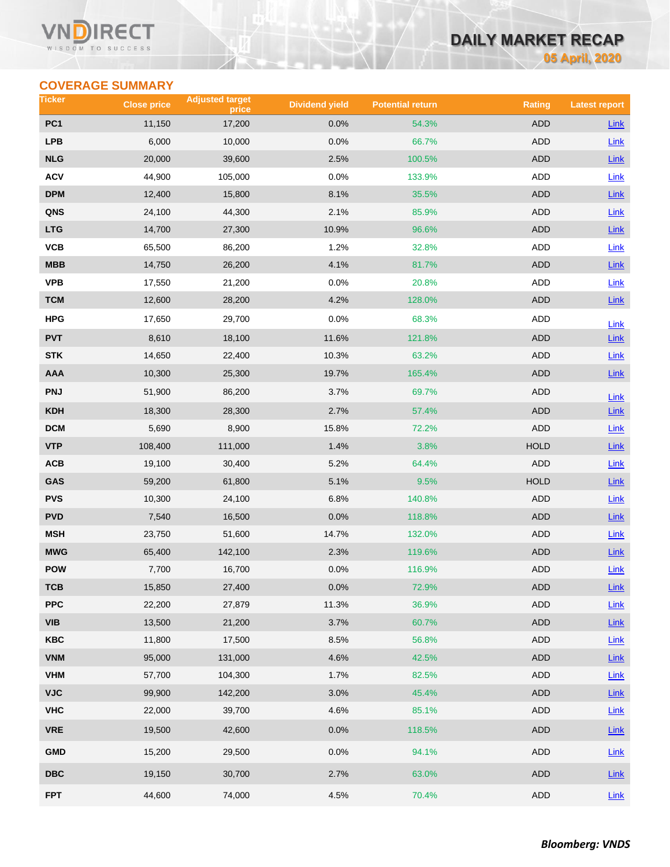### Vľ RECT WISDOM TO SUCCESS

# **DAILY MARKET RECAP**

**05 April, 2020**

# **COVERAGE SUMMARY**

| Ticker                  | <b>Close price</b> | <b>Adjusted target</b><br>price | <b>Dividend yield</b> | <b>Potential return</b> | <b>Rating</b> | <b>Latest report</b> |
|-------------------------|--------------------|---------------------------------|-----------------------|-------------------------|---------------|----------------------|
| PC <sub>1</sub>         | 11,150             | 17,200                          | 0.0%                  | 54.3%                   | <b>ADD</b>    | <b>Link</b>          |
| <b>LPB</b>              | 6,000              | 10,000                          | 0.0%                  | 66.7%                   | <b>ADD</b>    | Link                 |
| <b>NLG</b>              | 20,000             | 39,600                          | 2.5%                  | 100.5%                  | ADD           | Link                 |
| <b>ACV</b>              | 44,900             | 105,000                         | 0.0%                  | 133.9%                  | ADD           | <b>Link</b>          |
| <b>DPM</b>              | 12,400             | 15,800                          | 8.1%                  | 35.5%                   | <b>ADD</b>    | Link                 |
| QNS                     | 24,100             | 44,300                          | 2.1%                  | 85.9%                   | ADD           | Link                 |
| <b>LTG</b>              | 14,700             | 27,300                          | 10.9%                 | 96.6%                   | <b>ADD</b>    | $Link$               |
| VCB                     | 65,500             | 86,200                          | 1.2%                  | 32.8%                   | ADD           | Link                 |
| <b>MBB</b>              | 14,750             | 26,200                          | 4.1%                  | 81.7%                   | <b>ADD</b>    | $Link$               |
| <b>VPB</b>              | 17,550             | 21,200                          | 0.0%                  | 20.8%                   | ADD           | Link                 |
| <b>TCM</b>              | 12,600             | 28,200                          | 4.2%                  | 128.0%                  | ADD           | Link                 |
| <b>HPG</b>              | 17,650             | 29,700                          | 0.0%                  | 68.3%                   | ADD           | Link                 |
| <b>PVT</b>              | 8,610              | 18,100                          | 11.6%                 | 121.8%                  | <b>ADD</b>    | Link                 |
| <b>STK</b>              | 14,650             | 22,400                          | 10.3%                 | 63.2%                   | ADD           | Link                 |
| <b>AAA</b>              | 10,300             | 25,300                          | 19.7%                 | 165.4%                  | <b>ADD</b>    | $Link$               |
| <b>PNJ</b>              | 51,900             | 86,200                          | 3.7%                  | 69.7%                   | ADD           | Link                 |
| <b>KDH</b>              | 18,300             | 28,300                          | 2.7%                  | 57.4%                   | <b>ADD</b>    | Link                 |
| <b>DCM</b>              | 5,690              | 8,900                           | 15.8%                 | 72.2%                   | <b>ADD</b>    | Link                 |
| <b>VTP</b>              | 108,400            | 111,000                         | 1.4%                  | 3.8%                    | <b>HOLD</b>   | Link                 |
| ACB                     | 19,100             | 30,400                          | 5.2%                  | 64.4%                   | <b>ADD</b>    | Link                 |
| GAS                     | 59,200             | 61,800                          | 5.1%                  | 9.5%                    | <b>HOLD</b>   | Link                 |
| <b>PVS</b>              | 10,300             | 24,100                          | 6.8%                  | 140.8%                  | <b>ADD</b>    | Link                 |
| <b>PVD</b>              | 7,540              | 16,500                          | 0.0%                  | 118.8%                  | ADD           | Link                 |
| <b>MSH</b>              | 23,750             | 51,600                          | 14.7%                 | 132.0%                  | ADD           | Link                 |
| <b>MWG</b>              | 65,400             | 142,100                         | 2.3%                  | 119.6%                  | <b>ADD</b>    | Link                 |
| <b>POW</b>              | 7,700              | 16,700                          | 0.0%                  | 116.9%                  | ADD           | Link                 |
| тсв                     | 15,850             | 27,400                          | 0.0%                  | 72.9%                   | ADD           | $Link$               |
| <b>PPC</b>              | 22,200             | 27,879                          | 11.3%                 | 36.9%                   | <b>ADD</b>    | Link                 |
| <b>VIB</b>              | 13,500             | 21,200                          | 3.7%                  | 60.7%                   | ADD           | $Link$               |
| <b>KBC</b>              | 11,800             | 17,500                          | 8.5%                  | 56.8%                   | ADD           | Link                 |
| <b>VNM</b>              | 95,000             | 131,000                         | 4.6%                  | 42.5%                   | <b>ADD</b>    | Link                 |
| <b>VHM</b>              | 57,700             | 104,300                         | 1.7%                  | 82.5%                   | <b>ADD</b>    | Link                 |
| <b>VJC</b>              | 99,900             | 142,200                         | 3.0%                  | 45.4%                   | ADD           | Link                 |
| <b>VHC</b>              | 22,000             | 39,700                          | 4.6%                  | 85.1%                   | ADD           | Link                 |
| <b>VRE</b>              | 19,500             | 42,600                          | 0.0%                  | 118.5%                  | ADD           | $Link$               |
| <b>GMD</b>              | 15,200             | 29,500                          | 0.0%                  | 94.1%                   | ADD           | Link                 |
| $\overline{\text{DBC}}$ | 19,150             | 30,700                          | 2.7%                  | 63.0%                   | ADD           | Link                 |
| <b>FPT</b>              | 44,600             | 74,000                          | 4.5%                  | 70.4%                   | ADD           | Link                 |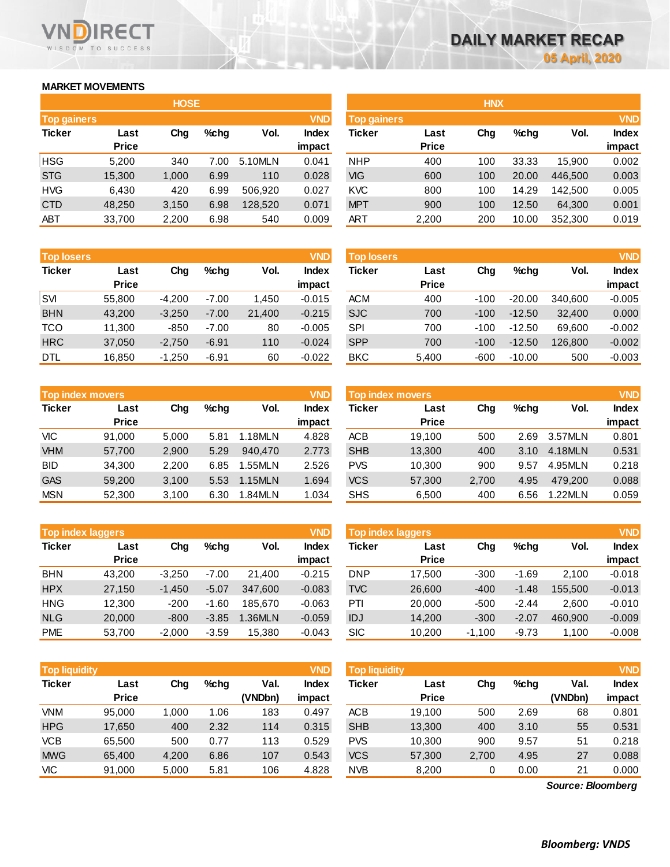# **MARKET MOVEMENTS**

WISDOM TO SUCCESS

**RECT** 

VND

|                    | <b>HOSE</b>  |       |      |         |              |  |  |  |  |  |  |  |  |
|--------------------|--------------|-------|------|---------|--------------|--|--|--|--|--|--|--|--|
| <b>Top gainers</b> |              |       |      |         | <b>VND</b>   |  |  |  |  |  |  |  |  |
| <b>Ticker</b>      | Last         | Cha   | %chq | Vol.    | <b>Index</b> |  |  |  |  |  |  |  |  |
|                    | <b>Price</b> |       |      |         | impact       |  |  |  |  |  |  |  |  |
| <b>HSG</b>         | 5,200        | 340   | 7.00 | 5.10MLN | 0.041        |  |  |  |  |  |  |  |  |
| <b>STG</b>         | 15,300       | 1,000 | 6.99 | 110     | 0.028        |  |  |  |  |  |  |  |  |
| <b>HVG</b>         | 6,430        | 420   | 6.99 | 506,920 | 0.027        |  |  |  |  |  |  |  |  |
| <b>CTD</b>         | 48,250       | 3,150 | 6.98 | 128,520 | 0.071        |  |  |  |  |  |  |  |  |
| ABT                | 33,700       | 2,200 | 6.98 | 540     | 0.009        |  |  |  |  |  |  |  |  |

| <b>Top losers</b> |              |          |         |        | <b>VND</b>   |
|-------------------|--------------|----------|---------|--------|--------------|
| <b>Ticker</b>     | Last         |          | %chq    | Vol.   | <b>Index</b> |
|                   | <b>Price</b> |          |         |        | impact       |
| <b>SVI</b>        | 55,800       | $-4,200$ | $-7.00$ | 1,450  | $-0.015$     |
| <b>BHN</b>        | 43,200       | $-3,250$ | $-7.00$ | 21,400 | $-0.215$     |
| <b>TCO</b>        | 11,300       | $-850$   | $-7.00$ | 80     | $-0.005$     |
| <b>HRC</b>        | 37,050       | $-2,750$ | $-6.91$ | 110    | $-0.024$     |
| DTL               | 16,850       | $-1,250$ | $-6.91$ | 60     | $-0.022$     |

| <b>Top index movers</b> |              |       |         |         | <b>VND</b>   |
|-------------------------|--------------|-------|---------|---------|--------------|
| <b>Ticker</b>           | Last         | Cha   | $%$ chg | Vol.    | <b>Index</b> |
|                         | <b>Price</b> |       |         |         | impact       |
| <b>VIC</b>              | 91,000       | 5,000 | 5.81    | 1.18MLN | 4.828        |
| <b>VHM</b>              | 57,700       | 2,900 | 5.29    | 940.470 | 2.773        |
| <b>BID</b>              | 34,300       | 2,200 | 6.85    | 1.55MLN | 2.526        |
| <b>GAS</b>              | 59,200       | 3,100 | 5.53    | 1.15MLN | 1.694        |
| <b>MSN</b>              | 52,300       | 3,100 | 6.30    | 1.84MLN | 1.034        |

| <b>Top index laggers</b> |              |          |         |         | <b>VND</b>   |
|--------------------------|--------------|----------|---------|---------|--------------|
| <b>Ticker</b>            | Last         | Cha      | %chq    | Vol.    | <b>Index</b> |
|                          | <b>Price</b> |          |         |         | impact       |
| <b>BHN</b>               | 43,200       | $-3,250$ | $-7.00$ | 21,400  | $-0.215$     |
| <b>HPX</b>               | 27,150       | $-1,450$ | $-5.07$ | 347,600 | $-0.083$     |
| <b>HNG</b>               | 12,300       | $-200$   | $-1.60$ | 185.670 | $-0.063$     |
| <b>NLG</b>               | 20,000       | $-800$   | $-3.85$ | 1.36MLN | $-0.059$     |
| <b>PME</b>               | 53,700       | $-2,000$ | $-3.59$ | 15.380  | $-0.043$     |

| <b>Top liquidity</b> |                      |       |         |                 | <b>VND</b>      | <b>Top liquidity</b> |                      |       |         |                 |                 |
|----------------------|----------------------|-------|---------|-----------------|-----------------|----------------------|----------------------|-------|---------|-----------------|-----------------|
| <b>Ticker</b>        | Last<br><b>Price</b> | Chg   | $%$ chq | Val.<br>(VNDbn) | Index<br>impact | Ticker               | Last<br><b>Price</b> | Chg   | $%$ chq | Val.<br>(VNDbn) | Index<br>impact |
| VNM                  | 95.000               | 1.000 | 1.06    | 183             | 0.497           | <b>ACB</b>           | 19.100               | 500   | 2.69    | 68              | 0.801           |
| <b>HPG</b>           | 17,650               | 400   | 2.32    | 114             | 0.315           | <b>SHB</b>           | 13,300               | 400   | 3.10    | 55              | 0.531           |
| <b>VCB</b>           | 65,500               | 500   | 0.77    | 113             | 0.529           | <b>PVS</b>           | 10.300               | 900   | 9.57    | 51              | 0.218           |
| <b>MWG</b>           | 65,400               | 4,200 | 6.86    | 107             | 0.543           | <b>VCS</b>           | 57,300               | 2,700 | 4.95    | 27              | 0.088           |
| VIC                  | 91,000               | 5,000 | 5.81    | 106             | 4.828           | <b>NVB</b>           | 8,200                | 0     | 0.00    | 21              | 0.000           |

|             |              | <b>HOSE</b> |         |         |              | <b>HNX</b>         |              |     |         |         |              |
|-------------|--------------|-------------|---------|---------|--------------|--------------------|--------------|-----|---------|---------|--------------|
| Top gainers |              |             |         |         | <b>VND</b>   | <b>Top gainers</b> |              |     |         |         | <b>VND</b>   |
| Ticker      | Last         | Chg         | $%$ chg | Vol.    | <b>Index</b> | Ticker             | Last         | Chg | $%$ chg | Vol.    | <b>Index</b> |
|             | <b>Price</b> |             |         |         | impact       |                    | <b>Price</b> |     |         |         | impact       |
| HSG         | 5,200        | 340         | 7.00    | 5.10MLN | 0.041        | <b>NHP</b>         | 400          | 100 | 33.33   | 15.900  | 0.002        |
| <b>STG</b>  | 15,300       | 1,000       | 6.99    | 110     | 0.028        | VIG                | 600          | 100 | 20.00   | 446,500 | 0.003        |
| HVG         | 6,430        | 420         | 6.99    | 506.920 | 0.027        | <b>KVC</b>         | 800          | 100 | 14.29   | 142,500 | 0.005        |
| <b>CTD</b>  | 48,250       | 3,150       | 6.98    | 128,520 | 0.071        | <b>MPT</b>         | 900          | 100 | 12.50   | 64,300  | 0.001        |
| ABT         | 33,700       | 2,200       | 6.98    | 540     | 0.009        | <b>ART</b>         | 2,200        | 200 | 10.00   | 352,300 | 0.019        |
|             |              |             |         |         |              |                    |              |     |         |         |              |

| <b>Top losers</b> |              |          |         |        | <b>VND</b>   | <b>Top losers</b> |              |        |          |         | <b>VND</b>   |
|-------------------|--------------|----------|---------|--------|--------------|-------------------|--------------|--------|----------|---------|--------------|
| Ticker            | Last         | Chg      | $%$ chg | Vol.   | <b>Index</b> | Ticker            | Last         | Chg    | $%$ chg  | Vol.    | <b>Index</b> |
|                   | <b>Price</b> |          |         |        | impact       |                   | <b>Price</b> |        |          |         | impact       |
| SVI               | 55,800       | $-4.200$ | $-7.00$ | 1.450  | $-0.015$     | <b>ACM</b>        | 400          | $-100$ | $-20.00$ | 340.600 | $-0.005$     |
| <b>BHN</b>        | 43,200       | $-3,250$ | $-7.00$ | 21,400 | $-0.215$     | <b>SJC</b>        | 700          | $-100$ | $-12.50$ | 32,400  | 0.000        |
| тсо               | 11.300       | $-850$   | $-7.00$ | 80     | $-0.005$     | <b>SPI</b>        | 700          | $-100$ | $-12.50$ | 69.600  | $-0.002$     |
| <b>HRC</b>        | 37,050       | $-2,750$ | $-6.91$ | 110    | $-0.024$     | <b>SPP</b>        | 700          | $-100$ | $-12.50$ | 126,800 | $-0.002$     |
| DTL               | 16,850       | $-1,250$ | $-6.91$ | 60     | $-0.022$     | <b>BKC</b>        | 5,400        | $-600$ | $-10.00$ | 500     | $-0.003$     |
|                   |              |          |         |        |              |                   |              |        |          |         |              |

| <b>Top index movers</b> |              |       |      |         | <b>VND</b>   | <b>Top index movers</b> |              |       |         |         | <b>VND</b>   |
|-------------------------|--------------|-------|------|---------|--------------|-------------------------|--------------|-------|---------|---------|--------------|
|                         |              |       |      |         |              |                         |              |       |         |         |              |
| Ticker                  | Last         | Chg   | %chq | Vol.    | <b>Index</b> | Ticker                  | Last         | Chg   | $%$ chg | Vol.    | <b>Index</b> |
|                         | <b>Price</b> |       |      |         | impact       |                         | <b>Price</b> |       |         |         | impact       |
| VIC                     | 91.000       | 5.000 | 5.81 | 1.18MLN | 4.828        | <b>ACB</b>              | 19.100       | 500   | 2.69    | 3.57MLN | 0.801        |
| <b>VHM</b>              | 57.700       | 2.900 | 5.29 | 940.470 | 2.773        | <b>SHB</b>              | 13,300       | 400   | 3.10    | 4.18MLN | 0.531        |
| BID                     | 34,300       | 2.200 | 6.85 | 1.55MLN | 2.526        | <b>PVS</b>              | 10,300       | 900   | 9.57    | 4.95MLN | 0.218        |
| <b>GAS</b>              | 59,200       | 3.100 | 5.53 | 1.15MLN | 1.694        | <b>VCS</b>              | 57,300       | 2.700 | 4.95    | 479.200 | 0.088        |
| MSN                     | 52,300       | 3,100 | 6.30 | 1.84MLN | 1.034        | <b>SHS</b>              | 6,500        | 400   | 6.56    | 1.22MLN | 0.059        |
|                         |              |       |      |         |              |                         |              |       |         |         |              |

| <b>Top index laggers</b> |                      |          |         |         | <b>VND</b>             |            | <b>VND</b><br><b>Top index laggers</b> |          |         |         |                        |  |
|--------------------------|----------------------|----------|---------|---------|------------------------|------------|----------------------------------------|----------|---------|---------|------------------------|--|
| Ticker                   | Last<br><b>Price</b> | Chg      | $%$ chg | Vol.    | <b>Index</b><br>impact | Ticker     | Last<br><b>Price</b>                   | Chg      | $%$ chg | Vol.    | <b>Index</b><br>impact |  |
| BHN                      | 43.200               | $-3.250$ | $-7.00$ | 21.400  | $-0.215$               | <b>DNP</b> | 17.500                                 | $-300$   | $-1.69$ | 2.100   | $-0.018$               |  |
| <b>HPX</b>               | 27,150               | $-1.450$ | $-5.07$ | 347.600 | $-0.083$               | <b>TVC</b> | 26,600                                 | $-400$   | $-1.48$ | 155.500 | $-0.013$               |  |
| HNG                      | 12.300               | $-200$   | $-1.60$ | 185.670 | $-0.063$               | PTI        | 20,000                                 | $-500$   | $-2.44$ | 2.600   | $-0.010$               |  |
| <b>NLG</b>               | 20,000               | $-800$   | $-3.85$ | .36MLN  | $-0.059$               | IDJ        | 14.200                                 | $-300$   | $-2.07$ | 460.900 | $-0.009$               |  |
| PME                      | 53.700               | $-2,000$ | $-3.59$ | 15,380  | $-0.043$               | <b>SIC</b> | 10,200                                 | $-1.100$ | $-9.73$ | 1.100   | $-0.008$               |  |

| <b>Top liquidity</b> |                      |       |         |                 | <b>VND</b>             | <b>Top liquidity</b> |                      |       |         |                   | <b>VND</b>             |
|----------------------|----------------------|-------|---------|-----------------|------------------------|----------------------|----------------------|-------|---------|-------------------|------------------------|
| Ticker               | Last<br><b>Price</b> | Chg   | $%$ chg | Val.<br>(VNDbn) | <b>Index</b><br>impact | Ticker               | Last<br><b>Price</b> | Chg   | $%$ chg | Val.<br>(VNDbn)   | <b>Index</b><br>impact |
| VNM                  | 95.000               | 1,000 | 1.06    | 183             | 0.497                  | <b>ACB</b>           | 19,100               | 500   | 2.69    | 68                | 0.801                  |
| <b>HPG</b>           | 17.650               | 400   | 2.32    | 114             | 0.315                  | <b>SHB</b>           | 13,300               | 400   | 3.10    | 55                | 0.531                  |
| VCB                  | 65.500               | 500   | 0.77    | 113             | 0.529                  | <b>PVS</b>           | 10,300               | 900   | 9.57    | 51                | 0.218                  |
| <b>MWG</b>           | 65,400               | 4,200 | 6.86    | 107             | 0.543                  | <b>VCS</b>           | 57,300               | 2,700 | 4.95    | 27                | 0.088                  |
| VIC                  | 91,000               | 5,000 | 5.81    | 106             | 4.828                  | <b>NVB</b>           | 8,200                | 0     | 0.00    | 21                | 0.000                  |
|                      |                      |       |         |                 |                        |                      |                      |       |         | Source: Bloomberg |                        |

*Source: Bloomberg*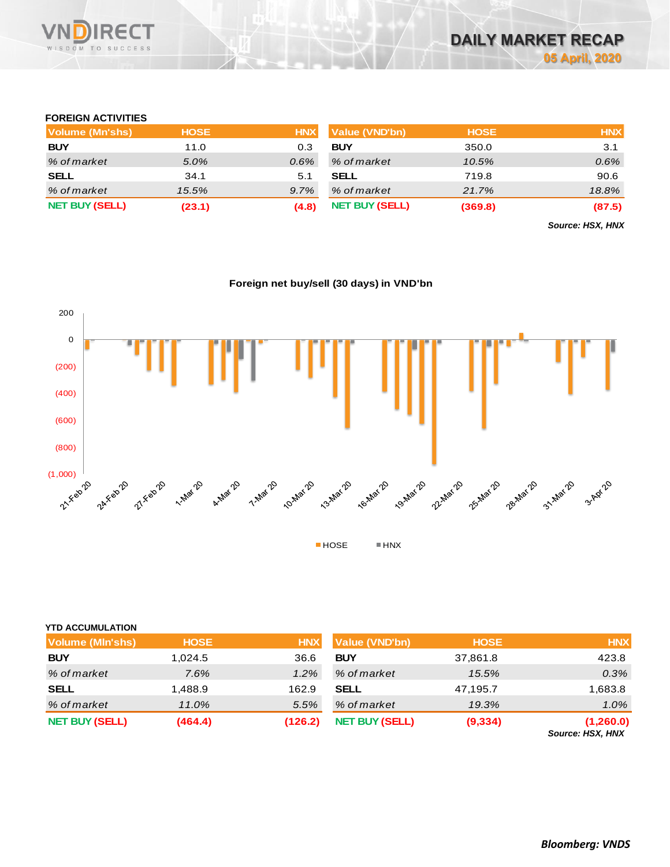

### **FOREIGN ACTIVITIES**

| Volume (Mn'shs)       | <b>HOSE</b> | <b>HNX</b> | Value (VND'bn)        | <b>HOSE</b> | <b>HNX</b> |
|-----------------------|-------------|------------|-----------------------|-------------|------------|
| <b>BUY</b>            | 11.0        | 0.3        | <b>BUY</b>            | 350.0       | 3.1        |
| % of market           | 5.0%        | $0.6\%$    | % of market           | 10.5%       | 0.6%       |
| <b>SELL</b>           | 34.1        | 5.1        | <b>SELL</b>           | 719.8       | 90.6       |
| % of market           | 15.5%       | 9.7%       | % of market           | 21.7%       | 18.8%      |
| <b>NET BUY (SELL)</b> | (23.1)      | (4.8)      | <b>NET BUY (SELL)</b> | (369.8)     | (87.5)     |

*Source: HSX, HNX*



### **Foreign net buy/sell (30 days) in VND'bn**

| <b>YTD ACCUMULATION</b> |
|-------------------------|
|-------------------------|

| Volume (MIn'shs)      | <b>HOSE</b> | <b>HNX</b> | <b>Value (VND'bn)</b> | <b>HOSE</b> | <b>HNX</b>               |
|-----------------------|-------------|------------|-----------------------|-------------|--------------------------|
| <b>BUY</b>            | 1,024.5     | 36.6       | <b>BUY</b>            | 37,861.8    | 423.8                    |
| % of market           | 7.6%        | 1.2%       | % of market           | 15.5%       | 0.3%                     |
| <b>SELL</b>           | 1,488.9     | 162.9      | <b>SELL</b>           | 47,195.7    | 1,683.8                  |
| % of market           | 11.0%       | 5.5%       | % of market           | 19.3%       | $1.0\%$                  |
| <b>NET BUY (SELL)</b> | (464.4)     | (126.2)    | <b>NET BUY (SELL)</b> | (9, 334)    | (1,260.0)<br>.<br>$\sim$ |

*Source: HSX, HNX*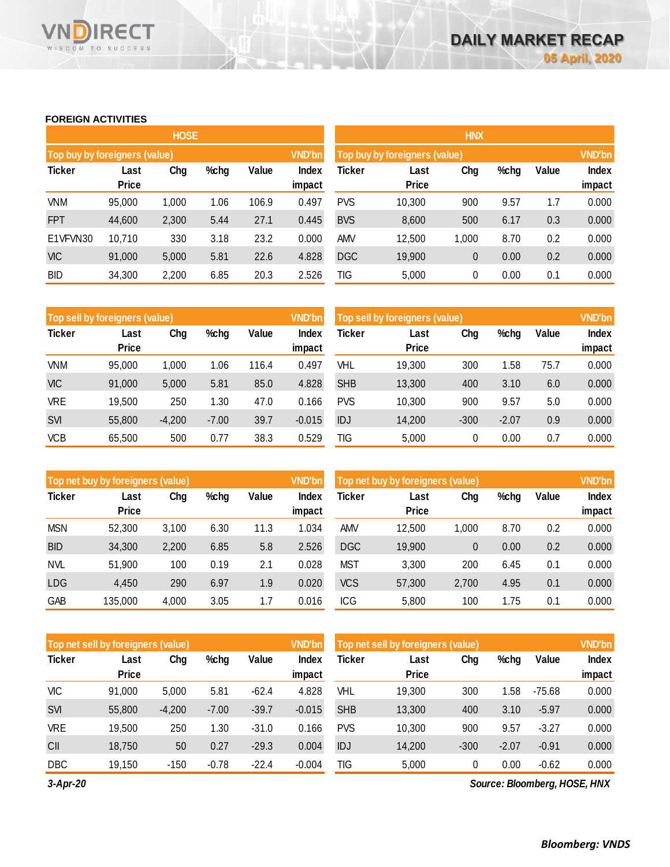### **FOREIGN ACTIVITIES**

WISDOM TO SUCCESS

**RECT** 

VND

|                               |                      | <b>HOSE</b> |      |       |                        |            |                               | <b>HNX</b>   |      |       |                        |
|-------------------------------|----------------------|-------------|------|-------|------------------------|------------|-------------------------------|--------------|------|-------|------------------------|
| Top buy by foreigners (value) |                      |             |      |       | <b>VND'bn</b>          |            | Top buy by foreigners (value) |              |      |       | <b>VND'bn</b>          |
| <b>Ticker</b>                 | Last<br><b>Price</b> | Chg         | %chg | Value | <b>Index</b><br>impact | Ticker     | Last<br><b>Price</b>          | Chg          | %chg | Value | <b>Index</b><br>impact |
| <b>VNM</b>                    | 95,000               | 1,000       | 1.06 | 106.9 | 0.497                  | <b>PVS</b> | 10,300                        | 900          | 9.57 | 1.7   | 0.000                  |
| <b>FPT</b>                    | 44,600               | 2,300       | 5.44 | 27.1  | 0.445                  | <b>BVS</b> | 8,600                         | 500          | 6.17 | 0.3   | 0.000                  |
| E1VFVN30                      | 10,710               | 330         | 3.18 | 23.2  | 0.000                  | <b>AMV</b> | 12,500                        | 1,000        | 8.70 | 0.2   | 0.000                  |
| <b>VIC</b>                    | 91,000               | 5,000       | 5.81 | 22.6  | 4.828                  | <b>DGC</b> | 19,900                        | $\mathbf{0}$ | 0.00 | 0.2   | 0.000                  |
| <b>BID</b>                    | 34,300               | 2,200       | 6.85 | 20.3  | 2.526                  | TIG        | 5,000                         | 0            | 0.00 | 0.1   | 0.000                  |

|               | Top sell by foreigners (value) |          |         |       | <b>VND'bn</b> | Top sell by foreigners (value) | <b>VND'bn</b> |        |         |       |              |
|---------------|--------------------------------|----------|---------|-------|---------------|--------------------------------|---------------|--------|---------|-------|--------------|
| <b>Ticker</b> | Last                           | Chg      | %chg    | Value | Index         | Ticker                         | Last          | Chg    | %chg    | Value | <b>Index</b> |
|               | <b>Price</b>                   |          |         |       | impact        |                                | <b>Price</b>  |        |         |       | impact       |
| <b>VNM</b>    | 95,000                         | 1.000    | 1.06    | 116.4 | 0.497         | VHL                            | 19,300        | 300    | 1.58    | 75.7  | 0.000        |
| <b>VIC</b>    | 91,000                         | 5,000    | 5.81    | 85.0  | 4.828         | <b>SHB</b>                     | 13,300        | 400    | 3.10    | 6.0   | 0.000        |
| <b>VRE</b>    | 19,500                         | 250      | 1.30    | 47.0  | 0.166         | <b>PVS</b>                     | 10,300        | 900    | 9.57    | 5.0   | 0.000        |
| <b>SVI</b>    | 55,800                         | $-4,200$ | $-7.00$ | 39.7  | $-0.015$      | IDJ                            | 14,200        | $-300$ | $-2.07$ | 0.9   | 0.000        |
| <b>VCB</b>    | 65,500                         | 500      | 0.77    | 38.3  | 0.529         | TIG                            | 5,000         |        | 0.00    | 0.7   | 0.000        |

|               | Top net buy by foreigners (value) |       |      |       |                 | Top net buy by foreigners (value) |                      | <b>VND'bn</b> |      |       |                        |
|---------------|-----------------------------------|-------|------|-------|-----------------|-----------------------------------|----------------------|---------------|------|-------|------------------------|
| <b>Ticker</b> | Last<br><b>Price</b>              | Chg   | %chg | Value | Index<br>impact | Ticker                            | Last<br><b>Price</b> | Chg           | %chg | Value | <b>Index</b><br>impact |
| <b>MSN</b>    | 52,300                            | 3,100 | 6.30 | 11.3  | 1.034           | AMV                               | 12,500               | 1.000         | 8.70 | 0.2   | 0.000                  |
| <b>BID</b>    | 34,300                            | 2,200 | 6.85 | 5.8   | 2.526           | <b>DGC</b>                        | 19,900               | 0             | 0.00 | 0.2   | 0.000                  |
| <b>NVL</b>    | 51,900                            | 100   | 0.19 | 2.1   | 0.028           | <b>MST</b>                        | 3,300                | 200           | 6.45 | 0.1   | 0.000                  |
| <b>LDG</b>    | 4.450                             | 290   | 6.97 | 1.9   | 0.020           | <b>VCS</b>                        | 57,300               | 2,700         | 4.95 | 0.1   | 0.000                  |
| GAB           | 135,000                           | 4,000 | 3.05 | 1.7   | 0.016           | <b>ICG</b>                        | 5,800                | 100           | 1.75 | 0.1   | 0.000                  |

| Top net sell by foreigners (value) |              |          |         |         | <b>VND'bn</b> | Top net sell by foreigners (value) |              | <b>VND'bn</b> |         |          |        |
|------------------------------------|--------------|----------|---------|---------|---------------|------------------------------------|--------------|---------------|---------|----------|--------|
| <b>Ticker</b>                      | Last         | Chg      | %chg    | Value   | Index         | Ticker                             | Last         | Chg           | %chg    | Value    | Index  |
|                                    | <b>Price</b> |          |         |         | impact        |                                    | <b>Price</b> |               |         |          | impact |
| VIC                                | 91,000       | 5,000    | 5.81    | $-62.4$ | 4.828         | VHL                                | 19,300       | 300           | 1.58    | $-75.68$ | 0.000  |
| SVI                                | 55,800       | $-4,200$ | $-7.00$ | $-39.7$ | $-0.015$      | <b>SHB</b>                         | 13,300       | 400           | 3.10    | $-5.97$  | 0.000  |
| <b>VRE</b>                         | 19.500       | 250      | 1.30    | $-31.0$ | 0.166         | <b>PVS</b>                         | 10,300       | 900           | 9.57    | $-3.27$  | 0.000  |
| CII                                | 18.750       | 50       | 0.27    | $-29.3$ | 0.004         | IDJ                                | 14,200       | $-300$        | $-2.07$ | $-0.91$  | 0.000  |
| <b>DBC</b>                         | 19.150       | $-150$   | $-0.78$ | $-22.4$ | $-0.004$      | TIG                                | 5,000        | 0             | 0.00    | $-0.62$  | 0.000  |

*3-Apr-20*

*Source: Bloomberg, HOSE, HNX*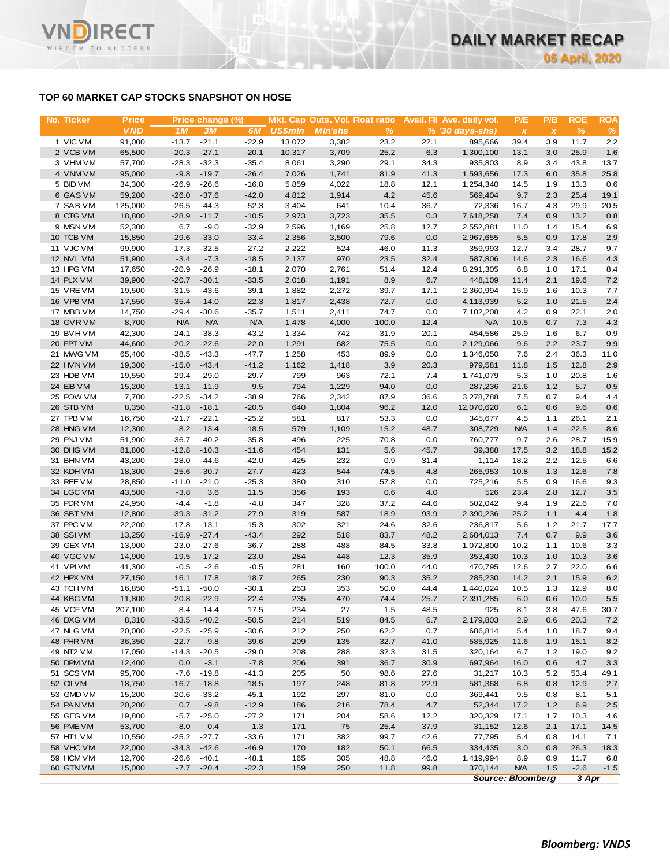# **TOP 60 MARKET CAP STOCKS SNAPSHOT ON HOSE**

**RECT** 

WISDOM TO SUCCESS

VI

| No. Ticker             | <b>Price</b>     |                    | Price change (%)   |                    |                | Mkt. Cap Outs. Vol. Float ratio |              |              | Avail. Fil Ave. daily vol. | P/E                       | P/B            | <b>ROE</b>   | <b>ROA</b> |
|------------------------|------------------|--------------------|--------------------|--------------------|----------------|---------------------------------|--------------|--------------|----------------------------|---------------------------|----------------|--------------|------------|
|                        | <b>VND</b>       | 1 <sub>M</sub>     | 3M                 | 6M                 | <b>US\$mln</b> | <b>MIn'shs</b>                  | $\%$         |              | $% (30 days-shs)$          | $\boldsymbol{\mathsf{x}}$ | $\pmb{\times}$ | $\%$         | %          |
| 1 VIC VM               | 91,000           | $-13.7$            | $-21.1$            | $-22.9$            | 13,072         | 3,382                           | 23.2         | 22.1         | 895,666                    | 39.4                      | 3.9            | 11.7         | 2.2        |
| 2 VCB VM               | 65,500           | $-20.3$            | $-27.1$            | $-20.1$            | 10,317         | 3,709                           | 25.2         | 6.3          | 1,300,100                  | 13.1                      | 3.0            | 25.9         | 1.6        |
| 3 VHM VM               | 57,700           | $-28.3$            | $-32.3$            | $-35.4$            | 8,061          | 3,290                           | 29.1         | 34.3         | 935,803                    | 8.9                       | 3.4            | 43.8         | 13.7       |
| 4 VNM VM               | 95,000           | $-9.8$             | $-19.7$            | $-26.4$            | 7,026          | 1,741                           | 81.9         | 41.3         | 1,593,656                  | 17.3                      | 6.0            | 35.8         | 25.8       |
| 5 BID VM               | 34,300           | $-26.9$            | $-26.6$            | $-16.8$            | 5,859          | 4,022                           | 18.8         | 12.1         | 1,254,340                  | 14.5                      | 1.9            | 13.3         | 0.6        |
| 6 GAS VM               | 59,200           | $-26.0$            | $-37.6$            | $-42.0$            | 4,812          | 1,914                           | 4.2          | 45.6         | 569,404                    | 9.7                       | 2.3            | 25.4         | 19.1       |
| 7 SAB VM               | 125,000          | $-26.5$            | $-44.3$            | $-52.3$            | 3,404          | 641                             | 10.4         | 36.7         | 72,336                     | 16.7                      | 4.3            | 29.9         | 20.5       |
| 8 CTG VM               | 18,800           | $-28.9$            | $-11.7$            | $-10.5$            | 2,973          | 3,723                           | 35.5         | 0.3          | 7,618,258                  | 7.4                       | 0.9            | 13.2         | 0.8        |
| 9 MSN VM               | 52,300           | 6.7                | $-9.0$             | $-32.9$            | 2,596          | 1,169                           | 25.8         | 12.7         | 2,552,881                  | 11.0                      | 1.4            | 15.4         | 6.9        |
| 10 TCB VM              | 15,850           | $-29.6$            | $-33.0$            | $-33.4$            | 2,356          | 3,500                           | 79.6         | 0.0          | 2,967,655                  | 5.5                       | 0.9            | 17.8         | 2.9        |
| 11 VJC VM              | 99,900           | $-17.3$            | $-32.5$            | $-27.2$            | 2,222          | 524                             | 46.0         | 11.3         | 359,993                    | 12.7                      | 3.4            | 28.7         | 9.7        |
| 12 NVL VM              | 51,900           | $-3.4$             | $-7.3$             | $-18.5$            | 2,137          | 970                             | 23.5         | 32.4         | 587,806                    | 14.6                      | 2.3            | 16.6         | 4.3        |
| 13 HPG VM              | 17,650           | $-20.9$<br>$-20.7$ | $-26.9$            | $-18.1$            | 2,070          | 2,761                           | 51.4<br>8.9  | 12.4<br>6.7  | 8,291,305                  | 6.8                       | 1.0<br>2.1     | 17.1<br>19.6 | 8.4<br>7.2 |
| 14 PLX VM<br>15 VRE VM | 39,900<br>19,500 | $-31.5$            | $-30.1$<br>$-43.6$ | $-33.5$<br>$-39.1$ | 2,018<br>1,882 | 1,191<br>2,272                  | 39.7         | 17.1         | 448,109<br>2,360,994       | 11.4<br>15.9              | 1.6            | 10.3         | 7.7        |
| 16 VPB VM              | 17,550           | $-35.4$            | $-14.0$            | $-22.3$            | 1,817          | 2,438                           | 72.7         | 0.0          | 4,113,939                  | 5.2                       | 1.0            | 21.5         | 2.4        |
| 17 MBB VM              | 14,750           | $-29.4$            | $-30.6$            | $-35.7$            | 1,511          | 2,411                           | 74.7         | 0.0          | 7,102,208                  | 4.2                       | 0.9            | 22.1         | 2.0        |
| 18 GVR VM              | 8,700            | <b>N/A</b>         | <b>N/A</b>         | <b>N/A</b>         | 1,478          | 4,000                           | 100.0        | 12.4         | <b>N/A</b>                 | 10.5                      | 0.7            | 7.3          | 4.3        |
| 19 BVHVM               | 42,300           | $-24.1$            | $-38.3$            | $-43.2$            | 1,334          | 742                             | 31.9         | 20.1         | 454,586                    | 25.9                      | 1.6            | 6.7          | 0.9        |
| 20 FPT VM              | 44,600           | $-20.2$            | $-22.6$            | $-22.0$            | 1,291          | 682                             | 75.5         | 0.0          | 2,129,066                  | 9.6                       | 2.2            | 23.7         | 9.9        |
| 21 MWG VM              | 65,400           | $-38.5$            | $-43.3$            | $-47.7$            | 1,258          | 453                             | 89.9         | 0.0          | 1,346,050                  | 7.6                       | 2.4            | 36.3         | 11.0       |
| 22 HVN VM              | 19,300           | $-15.0$            | $-43.4$            | $-41.2$            | 1,162          | 1,418                           | 3.9          | 20.3         | 979,581                    | 11.8                      | 1.5            | 12.8         | 2.9        |
| 23 HDB VM              | 19,550           | $-29.4$            | $-29.0$            | $-29.7$            | 799            | 963                             | 72.1         | 7.4          | 1,741,079                  | 5.3                       | 1.0            | 20.8         | 1.6        |
| 24 EIB VM              | 15,200           | $-13.1$            | $-11.9$            | $-9.5$             | 794            | 1,229                           | 94.0         | 0.0          | 287,236                    | 21.6                      | 1.2            | 5.7          | 0.5        |
| 25 POW VM              | 7,700            | $-22.5$            | $-34.2$            | $-38.9$            | 766            | 2,342                           | 87.9         | 36.6         | 3,278,788                  | 7.5                       | 0.7            | 9.4          | 4.4        |
| 26 STB VM              | 8,350            | $-31.8$            | $-18.1$            | $-20.5$            | 640            | 1,804                           | 96.2         | 12.0         | 12,070,620                 | 6.1                       | 0.6            | 9.6          | 0.6        |
| 27 TPB VM              | 16,750           | $-21.7$            | $-22.1$            | $-25.2$            | 581            | 817                             | 53.3         | 0.0          | 345,677                    | 4.5                       | 1.1            | 26.1         | 2.1        |
| 28 HNG VM              | 12,300           | $-8.2$             | $-13.4$            | $-18.5$            | 579            | 1,109                           | 15.2         | 48.7         | 308,729                    | <b>N/A</b>                | 1.4            | $-22.5$      | $-8.6$     |
| 29 PNJ VM              | 51,900           | $-36.7$            | $-40.2$            | $-35.8$            | 496            | 225                             | 70.8         | 0.0          | 760,777                    | 9.7                       | 2.6            | 28.7         | 15.9       |
| 30 DHG VM              | 81,800           | $-12.8$            | $-10.3$            | $-11.6$            | 454            | 131                             | 5.6          | 45.7         | 39,388                     | 17.5                      | 3.2            | 18.8         | 15.2       |
| 31 BHN VM              | 43,200           | $-28.0$            | $-44.6$            | $-42.0$            | 425            | 232                             | 0.9          | 31.4         | 1,114                      | 18.2                      | 2.2            | 12.5         | 6.6        |
| 32 KDH VM              | 18,300           | $-25.6$            | $-30.7$            | $-27.7$            | 423            | 544                             | 74.5         | 4.8          | 265,953                    | 10.8                      | 1.3            | 12.6         | 7.8        |
| 33 REE VM              | 28,850           | $-11.0$            | $-21.0$            | $-25.3$            | 380            | 310                             | 57.8         | 0.0          | 725,216                    | 5.5                       | 0.9            | 16.6         | 9.3        |
| 34 LGC VM              | 43,500           | $-3.8$             | 3.6                | 11.5               | 356            | 193                             | 0.6          | 4.0          | 526                        | 23.4                      | 2.8            | 12.7         | 3.5        |
| 35 PDR VM              | 24,950           | $-4.4$             | $-1.8$             | $-4.8$             | 347            | 328                             | 37.2         | 44.6         | 502,042                    | 9.4                       | 1.9            | 22.6         | 7.0        |
| 36 SBT VM              | 12,800           | $-39.3$            | $-31.2$            | $-27.9$            | 319            | 587                             | 18.9         | 93.9         | 2,390,236                  | 25.2                      | 1.1            | 4.4          | 1.8        |
| 37 PPC VM<br>38 SSI VM | 22,200<br>13,250 | $-17.8$<br>$-16.9$ | $-13.1$<br>$-27.4$ | $-15.3$            | 302<br>292     | 321<br>518                      | 24.6<br>83.7 | 32.6<br>48.2 | 236,817<br>2,684,013       | 5.6<br>7.4                | 1.2<br>0.7     | 21.7<br>9.9  | 17.7       |
| 39 GEX VM              | 13,900           | $-23.0$            | $-27.6$            | $-43.4$<br>$-36.7$ | 288            | 488                             | 84.5         | 33.8         | 1,072,800                  | 10.2                      | 1.1            | 10.6         | 3.6<br>3.3 |
| 40 VGC VM              | 14,900           | $-19.5$            | $-17.2$            | $-23.0$            | 284            | 448                             | 12.3         | 35.9         | 353,430                    | 10.3                      | 1.0            | 10.3         | 3.6        |
| 41 VPI VM              | 41,300           | $-0.5$             | $-2.6$             | $-0.5$             | 281            | 160                             | 100.0        | 44.0         | 470,795                    | 12.6                      | 2.7            | 22.0         | 6.6        |
| 42 HPX VM              | 27,150           | 16.1               | 17.8               | 18.7               | 265            | 230                             | 90.3         | 35.2         | 285,230                    | 14.2                      | 2.1            | 15.9         | 6.2        |
| 43 TCH VM              | 16,850           | $-51.1$            | $-50.0$            | $-30.1$            | 253            | 353                             | 50.0         | 44.4         | 1,440,024                  | 10.5                      | 1.3            | 12.9         | 8.0        |
| 44 KBC VM              | 11,800           | $-20.8$            | $-22.9$            | $-22.4$            | 235            | 470                             | 74.4         | 25.7         | 2,391,285                  | 6.0                       | 0.6            | 10.0         | 5.5        |
| 45 VCF VM              | 207,100          | 8.4                | 14.4               | 17.5               | 234            | 27                              | 1.5          | 48.5         | 925                        | 8.1                       | 3.8            | 47.6         | 30.7       |
| 46 DXG VM              | 8,310            | $-33.5$            | $-40.2$            | $-50.5$            | 214            | 519                             | 84.5         | 6.7          | 2,179,803                  | 2.9                       | 0.6            | 20.3         | 7.2        |
| 47 NLG VM              | 20,000           | $-22.5$            | $-25.9$            | $-30.6$            | 212            | 250                             | 62.2         | 0.7          | 686,814                    | 5.4                       | 1.0            | 18.7         | 9.4        |
| 48 PHR VM              | 36,350           | $-22.7$            | $-9.8$             | $-39.6$            | 209            | 135                             | 32.7         | 41.0         | 585,925                    | 11.6                      | 1.9            | 15.1         | 8.2        |
| 49 NT2 VM              | 17,050           | $-14.3$            | $-20.5$            | $-29.0$            | 208            | 288                             | 32.3         | 31.5         | 320,164                    | 6.7                       | 1.2            | 19.0         | 9.2        |
| 50 DPM VM              | 12,400           | 0.0                | $-3.1$             | $-7.8$             | 206            | 391                             | 36.7         | 30.9         | 697,964                    | 16.0                      | 0.6            | 4.7          | 3.3        |
| 51 SCS VM              | 95,700           | $-7.6$             | $-19.8$            | $-41.3$            | 205            | 50                              | 98.6         | 27.6         | 31,217                     | 10.3                      | 5.2            | 53.4         | 49.1       |
| 52 CII VM              | 18,750           | $-16.7$            | $-18.8$            | $-18.5$            | 197            | 248                             | 81.8         | 22.9         | 581,368                    | 6.8                       | 0.8            | 12.9         | 2.7        |
| 53 GMD VM              | 15,200           | $-20.6$            | $-33.2$            | $-45.1$            | 192            | 297                             | 81.0         | 0.0          | 369,441                    | 9.5                       | 0.8            | 8.1          | 5.1        |
| 54 PAN VM              | 20,200           | 0.7                | $-9.8$             | $-12.9$            | 186            | 216                             | 78.4         | 4.7          | 52,344                     | 17.2                      | 1.2            | 6.9          | 2.5        |
| 55 GEG VM              | 19,800           | $-5.7$             | $-25.0$            | $-27.2$            | 171            | 204                             | 58.6         | 12.2         | 320,329                    | 17.1                      | 1.7            | 10.3         | 4.6        |
| 56 PME VM              | 53,700           | $-8.0$             | 0.4                | 1.3                | 171            | 75                              | 25.4         | 37.9         | 31,152                     | 12.6                      | 2.1            | 17.1         | 14.5       |
| 57 HT1 VM              | 10,550           | $-25.2$            | $-27.7$            | $-33.6$            | 171            | 382                             | 99.7         | 42.6         | 77,795                     | 5.4                       | 0.8            | 14.1         | 7.1        |
| 58 VHC VM              | 22,000           | $-34.3$            | $-42.6$            | $-46.9$            | 170            | 182                             | 50.1         | 66.5         | 334,435                    | 3.0                       | 0.8            | 26.3         | 18.3       |
| 59 HCM VM              | 12,700           | $-26.6$            | $-40.1$            | $-48.1$            | 165            | 305                             | 48.8         | 46.0         | 1,419,994                  | 8.9                       | 0.9            | 11.7         | 6.8        |
| 60 GTN VM              | 15,000           | $-7.7$             | $-20.4$            | $-22.3$            | 159            | 250                             | 11.8         | 99.8         | 370,144                    | <b>N/A</b>                | 1.5            | $-2.6$       | $-1.5$     |